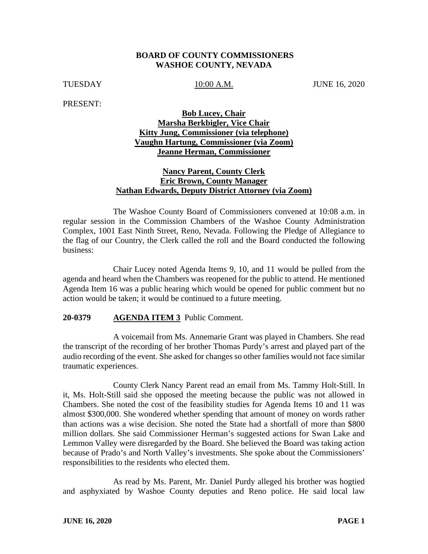#### **BOARD OF COUNTY COMMISSIONERS WASHOE COUNTY, NEVADA**

TUESDAY 10:00 A.M. JUNE 16, 2020

PRESENT:

# **Bob Lucey, Chair Marsha Berkbigler, Vice Chair Kitty Jung, Commissioner (via telephone) Vaughn Hartung, Commissioner (via Zoom) Jeanne Herman, Commissioner**

# **Nancy Parent, County Clerk Eric Brown, County Manager Nathan Edwards, Deputy District Attorney (via Zoom)**

The Washoe County Board of Commissioners convened at 10:08 a.m. in regular session in the Commission Chambers of the Washoe County Administration Complex, 1001 East Ninth Street, Reno, Nevada. Following the Pledge of Allegiance to the flag of our Country, the Clerk called the roll and the Board conducted the following business:

Chair Lucey noted Agenda Items 9, 10, and 11 would be pulled from the agenda and heard when the Chambers was reopened for the public to attend. He mentioned Agenda Item 16 was a public hearing which would be opened for public comment but no action would be taken; it would be continued to a future meeting.

#### **20-0379 AGENDA ITEM 3** Public Comment.

A voicemail from Ms. Annemarie Grant was played in Chambers. She read the transcript of the recording of her brother Thomas Purdy's arrest and played part of the audio recording of the event. She asked for changes so other families would not face similar traumatic experiences.

County Clerk Nancy Parent read an email from Ms. Tammy Holt-Still. In it, Ms. Holt-Still said she opposed the meeting because the public was not allowed in Chambers. She noted the cost of the feasibility studies for Agenda Items 10 and 11 was almost \$300,000. She wondered whether spending that amount of money on words rather than actions was a wise decision. She noted the State had a shortfall of more than \$800 million dollars. She said Commissioner Herman's suggested actions for Swan Lake and Lemmon Valley were disregarded by the Board. She believed the Board was taking action because of Prado's and North Valley's investments. She spoke about the Commissioners' responsibilities to the residents who elected them.

As read by Ms. Parent, Mr. Daniel Purdy alleged his brother was hogtied and asphyxiated by Washoe County deputies and Reno police. He said local law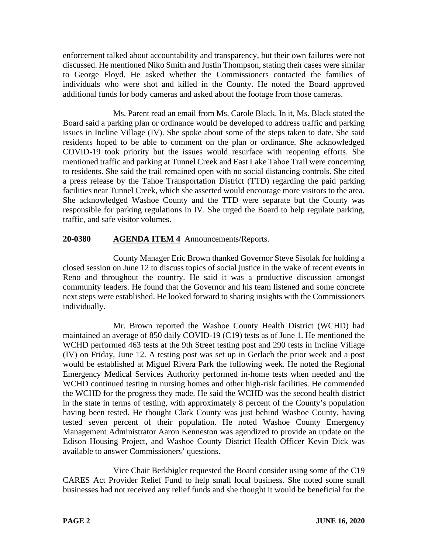enforcement talked about accountability and transparency, but their own failures were not discussed. He mentioned Niko Smith and Justin Thompson, stating their cases were similar to George Floyd. He asked whether the Commissioners contacted the families of individuals who were shot and killed in the County. He noted the Board approved additional funds for body cameras and asked about the footage from those cameras.

Ms. Parent read an email from Ms. Carole Black. In it, Ms. Black stated the Board said a parking plan or ordinance would be developed to address traffic and parking issues in Incline Village (IV). She spoke about some of the steps taken to date. She said residents hoped to be able to comment on the plan or ordinance. She acknowledged COVID-19 took priority but the issues would resurface with reopening efforts. She mentioned traffic and parking at Tunnel Creek and East Lake Tahoe Trail were concerning to residents. She said the trail remained open with no social distancing controls. She cited a press release by the Tahoe Transportation District (TTD) regarding the paid parking facilities near Tunnel Creek, which she asserted would encourage more visitors to the area. She acknowledged Washoe County and the TTD were separate but the County was responsible for parking regulations in IV. She urged the Board to help regulate parking, traffic, and safe visitor volumes.

# **20-0380 AGENDA ITEM 4** Announcements/Reports.

County Manager Eric Brown thanked Governor Steve Sisolak for holding a closed session on June 12 to discuss topics of social justice in the wake of recent events in Reno and throughout the country. He said it was a productive discussion amongst community leaders. He found that the Governor and his team listened and some concrete next steps were established. He looked forward to sharing insights with the Commissioners individually.

Mr. Brown reported the Washoe County Health District (WCHD) had maintained an average of 850 daily COVID-19 (C19) tests as of June 1. He mentioned the WCHD performed 463 tests at the 9th Street testing post and 290 tests in Incline Village (IV) on Friday, June 12. A testing post was set up in Gerlach the prior week and a post would be established at Miguel Rivera Park the following week. He noted the Regional Emergency Medical Services Authority performed in-home tests when needed and the WCHD continued testing in nursing homes and other high-risk facilities. He commended the WCHD for the progress they made. He said the WCHD was the second health district in the state in terms of testing, with approximately 8 percent of the County's population having been tested. He thought Clark County was just behind Washoe County, having tested seven percent of their population. He noted Washoe County Emergency Management Administrator Aaron Kenneston was agendized to provide an update on the Edison Housing Project, and Washoe County District Health Officer Kevin Dick was available to answer Commissioners' questions.

Vice Chair Berkbigler requested the Board consider using some of the C19 CARES Act Provider Relief Fund to help small local business. She noted some small businesses had not received any relief funds and she thought it would be beneficial for the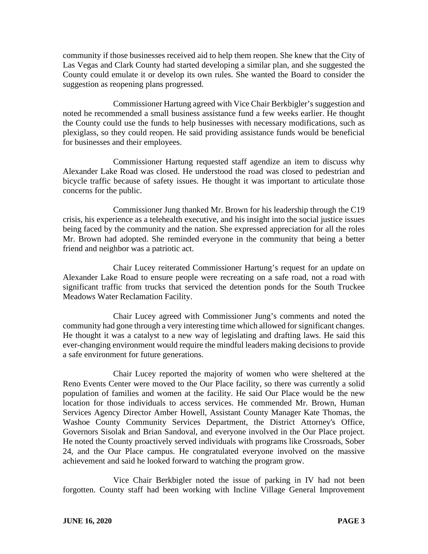community if those businesses received aid to help them reopen. She knew that the City of Las Vegas and Clark County had started developing a similar plan, and she suggested the County could emulate it or develop its own rules. She wanted the Board to consider the suggestion as reopening plans progressed.

Commissioner Hartung agreed with Vice Chair Berkbigler's suggestion and noted he recommended a small business assistance fund a few weeks earlier. He thought the County could use the funds to help businesses with necessary modifications, such as plexiglass, so they could reopen. He said providing assistance funds would be beneficial for businesses and their employees.

Commissioner Hartung requested staff agendize an item to discuss why Alexander Lake Road was closed. He understood the road was closed to pedestrian and bicycle traffic because of safety issues. He thought it was important to articulate those concerns for the public.

Commissioner Jung thanked Mr. Brown for his leadership through the C19 crisis, his experience as a telehealth executive, and his insight into the social justice issues being faced by the community and the nation. She expressed appreciation for all the roles Mr. Brown had adopted. She reminded everyone in the community that being a better friend and neighbor was a patriotic act.

Chair Lucey reiterated Commissioner Hartung's request for an update on Alexander Lake Road to ensure people were recreating on a safe road, not a road with significant traffic from trucks that serviced the detention ponds for the South Truckee Meadows Water Reclamation Facility.

Chair Lucey agreed with Commissioner Jung's comments and noted the community had gone through a very interesting time which allowed for significant changes. He thought it was a catalyst to a new way of legislating and drafting laws. He said this ever-changing environment would require the mindful leaders making decisions to provide a safe environment for future generations.

Chair Lucey reported the majority of women who were sheltered at the Reno Events Center were moved to the Our Place facility, so there was currently a solid population of families and women at the facility. He said Our Place would be the new location for those individuals to access services. He commended Mr. Brown, Human Services Agency Director Amber Howell, Assistant County Manager Kate Thomas, the Washoe County Community Services Department, the District Attorney's Office, Governors Sisolak and Brian Sandoval, and everyone involved in the Our Place project. He noted the County proactively served individuals with programs like Crossroads, Sober 24, and the Our Place campus. He congratulated everyone involved on the massive achievement and said he looked forward to watching the program grow.

Vice Chair Berkbigler noted the issue of parking in IV had not been forgotten. County staff had been working with Incline Village General Improvement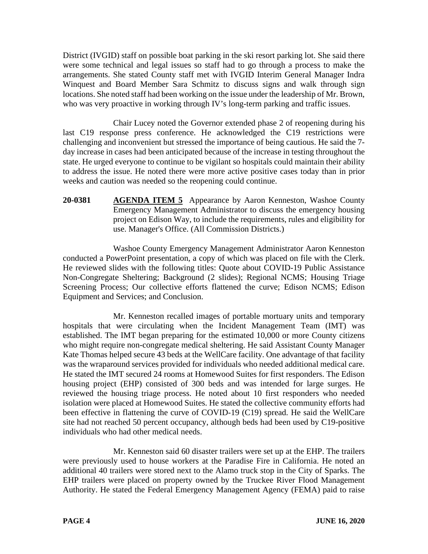District (IVGID) staff on possible boat parking in the ski resort parking lot. She said there were some technical and legal issues so staff had to go through a process to make the arrangements. She stated County staff met with IVGID Interim General Manager Indra Winquest and Board Member Sara Schmitz to discuss signs and walk through sign locations. She noted staff had been working on the issue under the leadership of Mr. Brown, who was very proactive in working through IV's long-term parking and traffic issues.

Chair Lucey noted the Governor extended phase 2 of reopening during his last C19 response press conference. He acknowledged the C19 restrictions were challenging and inconvenient but stressed the importance of being cautious. He said the 7 day increase in cases had been anticipated because of the increase in testing throughout the state. He urged everyone to continue to be vigilant so hospitals could maintain their ability to address the issue. He noted there were more active positive cases today than in prior weeks and caution was needed so the reopening could continue.

**20-0381 AGENDA ITEM 5** Appearance by Aaron Kenneston, Washoe County Emergency Management Administrator to discuss the emergency housing project on Edison Way, to include the requirements, rules and eligibility for use. Manager's Office. (All Commission Districts.)

Washoe County Emergency Management Administrator Aaron Kenneston conducted a PowerPoint presentation, a copy of which was placed on file with the Clerk. He reviewed slides with the following titles: Quote about COVID-19 Public Assistance Non-Congregate Sheltering; Background (2 slides); Regional NCMS; Housing Triage Screening Process; Our collective efforts flattened the curve; Edison NCMS; Edison Equipment and Services; and Conclusion.

Mr. Kenneston recalled images of portable mortuary units and temporary hospitals that were circulating when the Incident Management Team (IMT) was established. The IMT began preparing for the estimated 10,000 or more County citizens who might require non-congregate medical sheltering. He said Assistant County Manager Kate Thomas helped secure 43 beds at the WellCare facility. One advantage of that facility was the wraparound services provided for individuals who needed additional medical care. He stated the IMT secured 24 rooms at Homewood Suites for first responders. The Edison housing project (EHP) consisted of 300 beds and was intended for large surges. He reviewed the housing triage process. He noted about 10 first responders who needed isolation were placed at Homewood Suites. He stated the collective community efforts had been effective in flattening the curve of COVID-19 (C19) spread. He said the WellCare site had not reached 50 percent occupancy, although beds had been used by C19-positive individuals who had other medical needs.

Mr. Kenneston said 60 disaster trailers were set up at the EHP. The trailers were previously used to house workers at the Paradise Fire in California. He noted an additional 40 trailers were stored next to the Alamo truck stop in the City of Sparks. The EHP trailers were placed on property owned by the Truckee River Flood Management Authority. He stated the Federal Emergency Management Agency (FEMA) paid to raise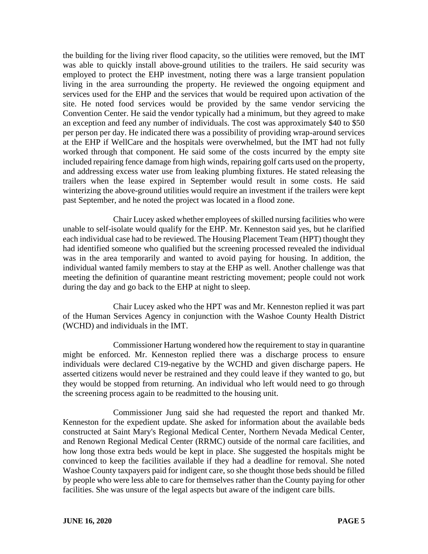the building for the living river flood capacity, so the utilities were removed, but the IMT was able to quickly install above-ground utilities to the trailers. He said security was employed to protect the EHP investment, noting there was a large transient population living in the area surrounding the property. He reviewed the ongoing equipment and services used for the EHP and the services that would be required upon activation of the site. He noted food services would be provided by the same vendor servicing the Convention Center. He said the vendor typically had a minimum, but they agreed to make an exception and feed any number of individuals. The cost was approximately \$40 to \$50 per person per day. He indicated there was a possibility of providing wrap-around services at the EHP if WellCare and the hospitals were overwhelmed, but the IMT had not fully worked through that component. He said some of the costs incurred by the empty site included repairing fence damage from high winds, repairing golf carts used on the property, and addressing excess water use from leaking plumbing fixtures. He stated releasing the trailers when the lease expired in September would result in some costs. He said winterizing the above-ground utilities would require an investment if the trailers were kept past September, and he noted the project was located in a flood zone.

Chair Lucey asked whether employees of skilled nursing facilities who were unable to self-isolate would qualify for the EHP. Mr. Kenneston said yes, but he clarified each individual case had to be reviewed. The Housing Placement Team (HPT) thought they had identified someone who qualified but the screening processed revealed the individual was in the area temporarily and wanted to avoid paying for housing. In addition, the individual wanted family members to stay at the EHP as well. Another challenge was that meeting the definition of quarantine meant restricting movement; people could not work during the day and go back to the EHP at night to sleep.

Chair Lucey asked who the HPT was and Mr. Kenneston replied it was part of the Human Services Agency in conjunction with the Washoe County Health District (WCHD) and individuals in the IMT.

Commissioner Hartung wondered how the requirement to stay in quarantine might be enforced. Mr. Kenneston replied there was a discharge process to ensure individuals were declared C19-negative by the WCHD and given discharge papers. He asserted citizens would never be restrained and they could leave if they wanted to go, but they would be stopped from returning. An individual who left would need to go through the screening process again to be readmitted to the housing unit.

Commissioner Jung said she had requested the report and thanked Mr. Kenneston for the expedient update. She asked for information about the available beds constructed at Saint Mary's Regional Medical Center, Northern Nevada Medical Center, and Renown Regional Medical Center (RRMC) outside of the normal care facilities, and how long those extra beds would be kept in place. She suggested the hospitals might be convinced to keep the facilities available if they had a deadline for removal. She noted Washoe County taxpayers paid for indigent care, so she thought those beds should be filled by people who were less able to care for themselves rather than the County paying for other facilities. She was unsure of the legal aspects but aware of the indigent care bills.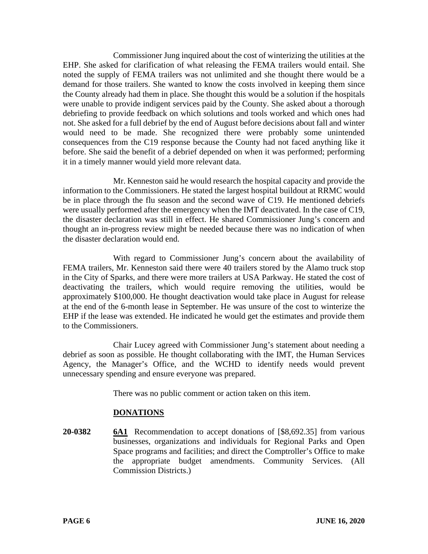Commissioner Jung inquired about the cost of winterizing the utilities at the EHP. She asked for clarification of what releasing the FEMA trailers would entail. She noted the supply of FEMA trailers was not unlimited and she thought there would be a demand for those trailers. She wanted to know the costs involved in keeping them since the County already had them in place. She thought this would be a solution if the hospitals were unable to provide indigent services paid by the County. She asked about a thorough debriefing to provide feedback on which solutions and tools worked and which ones had not. She asked for a full debrief by the end of August before decisions about fall and winter would need to be made. She recognized there were probably some unintended consequences from the C19 response because the County had not faced anything like it before. She said the benefit of a debrief depended on when it was performed; performing it in a timely manner would yield more relevant data.

Mr. Kenneston said he would research the hospital capacity and provide the information to the Commissioners. He stated the largest hospital buildout at RRMC would be in place through the flu season and the second wave of C19. He mentioned debriefs were usually performed after the emergency when the IMT deactivated. In the case of C19, the disaster declaration was still in effect. He shared Commissioner Jung's concern and thought an in-progress review might be needed because there was no indication of when the disaster declaration would end.

With regard to Commissioner Jung's concern about the availability of FEMA trailers, Mr. Kenneston said there were 40 trailers stored by the Alamo truck stop in the City of Sparks, and there were more trailers at USA Parkway. He stated the cost of deactivating the trailers, which would require removing the utilities, would be approximately \$100,000. He thought deactivation would take place in August for release at the end of the 6-month lease in September. He was unsure of the cost to winterize the EHP if the lease was extended. He indicated he would get the estimates and provide them to the Commissioners.

Chair Lucey agreed with Commissioner Jung's statement about needing a debrief as soon as possible. He thought collaborating with the IMT, the Human Services Agency, the Manager's Office, and the WCHD to identify needs would prevent unnecessary spending and ensure everyone was prepared.

There was no public comment or action taken on this item.

### **DONATIONS**

**20-0382 6A1** Recommendation to accept donations of [\$8,692.35] from various businesses, organizations and individuals for Regional Parks and Open Space programs and facilities; and direct the Comptroller's Office to make the appropriate budget amendments. Community Services. (All Commission Districts.)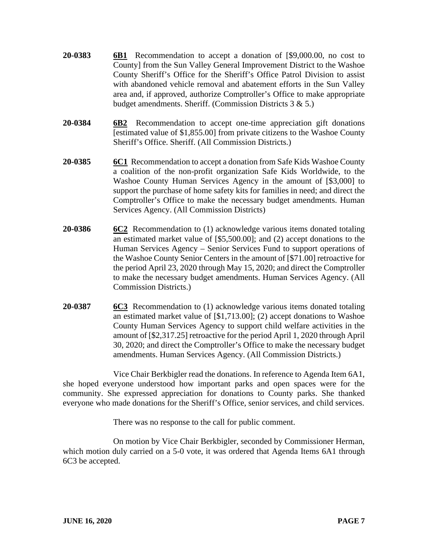- **20-0383 6B1** Recommendation to accept a donation of [\$9,000.00, no cost to County] from the Sun Valley General Improvement District to the Washoe County Sheriff's Office for the Sheriff's Office Patrol Division to assist with abandoned vehicle removal and abatement efforts in the Sun Valley area and, if approved, authorize Comptroller's Office to make appropriate budget amendments. Sheriff. (Commission Districts 3 & 5.)
- **20-0384 6B2** Recommendation to accept one-time appreciation gift donations [estimated value of \$1,855.00] from private citizens to the Washoe County Sheriff's Office. Sheriff. (All Commission Districts.)
- **20-0385 6C1** Recommendation to accept a donation from Safe Kids Washoe County a coalition of the non-profit organization Safe Kids Worldwide, to the Washoe County Human Services Agency in the amount of [\$3,000] to support the purchase of home safety kits for families in need; and direct the Comptroller's Office to make the necessary budget amendments. Human Services Agency. (All Commission Districts)
- **20-0386 6C2** Recommendation to (1) acknowledge various items donated totaling an estimated market value of [\$5,500.00]; and (2) accept donations to the Human Services Agency – Senior Services Fund to support operations of the Washoe County Senior Centers in the amount of [\$71.00] retroactive for the period April 23, 2020 through May 15, 2020; and direct the Comptroller to make the necessary budget amendments. Human Services Agency. (All Commission Districts.)
- **20-0387 6C3** Recommendation to (1) acknowledge various items donated totaling an estimated market value of [\$1,713.00]; (2) accept donations to Washoe County Human Services Agency to support child welfare activities in the amount of [\$2,317.25] retroactive for the period April 1, 2020 through April 30, 2020; and direct the Comptroller's Office to make the necessary budget amendments. Human Services Agency. (All Commission Districts.)

Vice Chair Berkbigler read the donations. In reference to Agenda Item 6A1, she hoped everyone understood how important parks and open spaces were for the community. She expressed appreciation for donations to County parks. She thanked everyone who made donations for the Sheriff's Office, senior services, and child services.

There was no response to the call for public comment.

On motion by Vice Chair Berkbigler, seconded by Commissioner Herman, which motion duly carried on a 5-0 vote, it was ordered that Agenda Items 6A1 through 6C3 be accepted.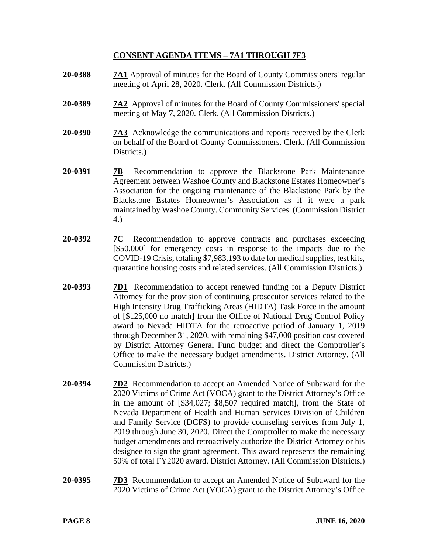# **CONSENT AGENDA ITEMS** – **7A1 THROUGH 7F3**

- **20-0388 7A1** Approval of minutes for the Board of County Commissioners' regular meeting of April 28, 2020. Clerk. (All Commission Districts.)
- **20-0389 7A2** Approval of minutes for the Board of County Commissioners' special meeting of May 7, 2020. Clerk. (All Commission Districts.)
- **20-0390 7A3** Acknowledge the communications and reports received by the Clerk on behalf of the Board of County Commissioners. Clerk. (All Commission Districts.
- **20-0391 7B** Recommendation to approve the Blackstone Park Maintenance Agreement between Washoe County and Blackstone Estates Homeowner's Association for the ongoing maintenance of the Blackstone Park by the Blackstone Estates Homeowner's Association as if it were a park maintained by Washoe County. Community Services. (Commission District 4.)
- **20-0392 7C** Recommendation to approve contracts and purchases exceeding [\$50,000] for emergency costs in response to the impacts due to the COVID-19 Crisis, totaling \$7,983,193 to date for medical supplies, test kits, quarantine housing costs and related services. (All Commission Districts.)
- **20-0393 7D1** Recommendation to accept renewed funding for a Deputy District Attorney for the provision of continuing prosecutor services related to the High Intensity Drug Trafficking Areas (HIDTA) Task Force in the amount of [\$125,000 no match] from the Office of National Drug Control Policy award to Nevada HIDTA for the retroactive period of January 1, 2019 through December 31, 2020, with remaining \$47,000 position cost covered by District Attorney General Fund budget and direct the Comptroller's Office to make the necessary budget amendments. District Attorney. (All Commission Districts.)
- **20-0394 7D2** Recommendation to accept an Amended Notice of Subaward for the 2020 Victims of Crime Act (VOCA) grant to the District Attorney's Office in the amount of [\$34,027; \$8,507 required match], from the State of Nevada Department of Health and Human Services Division of Children and Family Service (DCFS) to provide counseling services from July 1, 2019 through June 30, 2020. Direct the Comptroller to make the necessary budget amendments and retroactively authorize the District Attorney or his designee to sign the grant agreement. This award represents the remaining 50% of total FY2020 award. District Attorney. (All Commission Districts.)
- **20-0395 7D3** Recommendation to accept an Amended Notice of Subaward for the 2020 Victims of Crime Act (VOCA) grant to the District Attorney's Office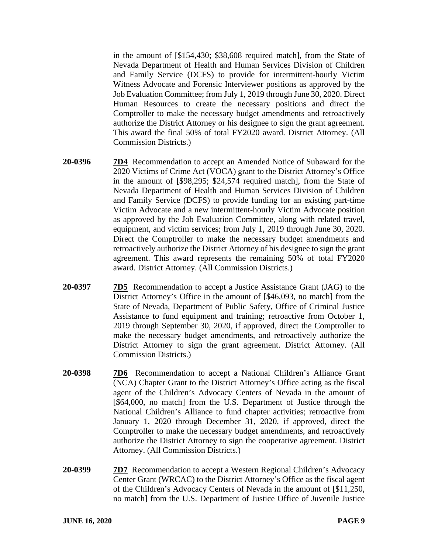in the amount of [\$154,430; \$38,608 required match], from the State of Nevada Department of Health and Human Services Division of Children and Family Service (DCFS) to provide for intermittent-hourly Victim Witness Advocate and Forensic Interviewer positions as approved by the Job Evaluation Committee; from July 1, 2019 through June 30, 2020. Direct Human Resources to create the necessary positions and direct the Comptroller to make the necessary budget amendments and retroactively authorize the District Attorney or his designee to sign the grant agreement. This award the final 50% of total FY2020 award. District Attorney. (All Commission Districts.)

- **20-0396 7D4** Recommendation to accept an Amended Notice of Subaward for the 2020 Victims of Crime Act (VOCA) grant to the District Attorney's Office in the amount of [\$98,295; \$24,574 required match], from the State of Nevada Department of Health and Human Services Division of Children and Family Service (DCFS) to provide funding for an existing part-time Victim Advocate and a new intermittent-hourly Victim Advocate position as approved by the Job Evaluation Committee, along with related travel, equipment, and victim services; from July 1, 2019 through June 30, 2020. Direct the Comptroller to make the necessary budget amendments and retroactively authorize the District Attorney of his designee to sign the grant agreement. This award represents the remaining 50% of total FY2020 award. District Attorney. (All Commission Districts.)
- **20-0397 7D5** Recommendation to accept a Justice Assistance Grant (JAG) to the District Attorney's Office in the amount of [\$46,093, no match] from the State of Nevada, Department of Public Safety, Office of Criminal Justice Assistance to fund equipment and training; retroactive from October 1, 2019 through September 30, 2020, if approved, direct the Comptroller to make the necessary budget amendments, and retroactively authorize the District Attorney to sign the grant agreement. District Attorney. (All Commission Districts.)
- **20-0398 7D6** Recommendation to accept a National Children's Alliance Grant (NCA) Chapter Grant to the District Attorney's Office acting as the fiscal agent of the Children's Advocacy Centers of Nevada in the amount of [\$64,000, no match] from the U.S. Department of Justice through the National Children's Alliance to fund chapter activities; retroactive from January 1, 2020 through December 31, 2020, if approved, direct the Comptroller to make the necessary budget amendments, and retroactively authorize the District Attorney to sign the cooperative agreement. District Attorney. (All Commission Districts.)
- **20-0399 7D7** Recommendation to accept a Western Regional Children's Advocacy Center Grant (WRCAC) to the District Attorney's Office as the fiscal agent of the Children's Advocacy Centers of Nevada in the amount of [\$11,250, no match] from the U.S. Department of Justice Office of Juvenile Justice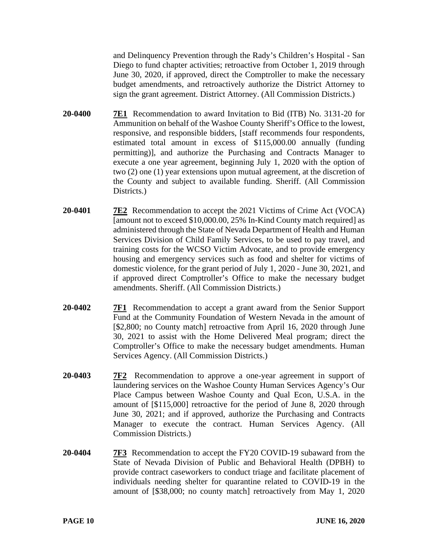and Delinquency Prevention through the Rady's Children's Hospital - San Diego to fund chapter activities; retroactive from October 1, 2019 through June 30, 2020, if approved, direct the Comptroller to make the necessary budget amendments, and retroactively authorize the District Attorney to sign the grant agreement. District Attorney. (All Commission Districts.)

- **20-0400 7E1** Recommendation to award Invitation to Bid (ITB) No. 3131-20 for Ammunition on behalf of the Washoe County Sheriff's Office to the lowest, responsive, and responsible bidders, [staff recommends four respondents, estimated total amount in excess of \$115,000.00 annually (funding permitting)], and authorize the Purchasing and Contracts Manager to execute a one year agreement, beginning July 1, 2020 with the option of two (2) one (1) year extensions upon mutual agreement, at the discretion of the County and subject to available funding. Sheriff. (All Commission Districts.
- **20-0401 7E2** Recommendation to accept the 2021 Victims of Crime Act (VOCA) [amount not to exceed \$10,000.00, 25% In-Kind County match required] as administered through the State of Nevada Department of Health and Human Services Division of Child Family Services, to be used to pay travel, and training costs for the WCSO Victim Advocate, and to provide emergency housing and emergency services such as food and shelter for victims of domestic violence, for the grant period of July 1, 2020 - June 30, 2021, and if approved direct Comptroller's Office to make the necessary budget amendments. Sheriff. (All Commission Districts.)
- **20-0402 7F1** Recommendation to accept a grant award from the Senior Support Fund at the Community Foundation of Western Nevada in the amount of [\$2,800; no County match] retroactive from April 16, 2020 through June 30, 2021 to assist with the Home Delivered Meal program; direct the Comptroller's Office to make the necessary budget amendments. Human Services Agency. (All Commission Districts.)
- **20-0403 7F2** Recommendation to approve a one-year agreement in support of laundering services on the Washoe County Human Services Agency's Our Place Campus between Washoe County and Qual Econ, U.S.A. in the amount of [\$115,000] retroactive for the period of June 8, 2020 through June 30, 2021; and if approved, authorize the Purchasing and Contracts Manager to execute the contract. Human Services Agency. (All Commission Districts.)
- **20-0404 7F3** Recommendation to accept the FY20 COVID-19 subaward from the State of Nevada Division of Public and Behavioral Health (DPBH) to provide contract caseworkers to conduct triage and facilitate placement of individuals needing shelter for quarantine related to COVID-19 in the amount of [\$38,000; no county match] retroactively from May 1, 2020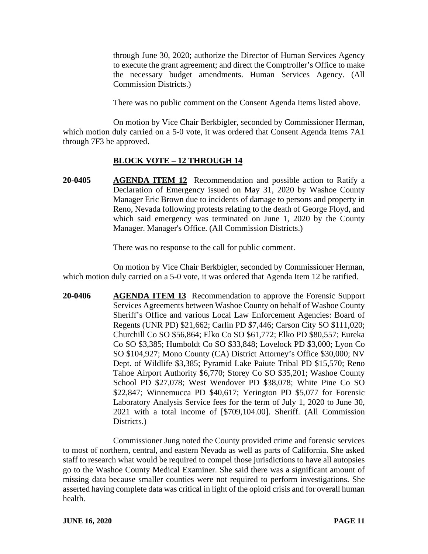through June 30, 2020; authorize the Director of Human Services Agency to execute the grant agreement; and direct the Comptroller's Office to make the necessary budget amendments. Human Services Agency. (All Commission Districts.)

There was no public comment on the Consent Agenda Items listed above.

On motion by Vice Chair Berkbigler, seconded by Commissioner Herman, which motion duly carried on a 5-0 vote, it was ordered that Consent Agenda Items 7A1 through 7F3 be approved.

# **BLOCK VOTE – 12 THROUGH 14**

**20-0405 AGENDA ITEM 12** Recommendation and possible action to Ratify a Declaration of Emergency issued on May 31, 2020 by Washoe County Manager Eric Brown due to incidents of damage to persons and property in Reno, Nevada following protests relating to the death of George Floyd, and which said emergency was terminated on June 1, 2020 by the County Manager. Manager's Office. (All Commission Districts.)

There was no response to the call for public comment.

On motion by Vice Chair Berkbigler, seconded by Commissioner Herman, which motion duly carried on a 5-0 vote, it was ordered that Agenda Item 12 be ratified.

**20-0406 AGENDA ITEM 13** Recommendation to approve the Forensic Support Services Agreements between Washoe County on behalf of Washoe County Sheriff's Office and various Local Law Enforcement Agencies: Board of Regents (UNR PD) \$21,662; Carlin PD \$7,446; Carson City SO \$111,020; Churchill Co SO \$56,864; Elko Co SO \$61,772; Elko PD \$80,557; Eureka Co SO \$3,385; Humboldt Co SO \$33,848; Lovelock PD \$3,000; Lyon Co SO \$104,927; Mono County (CA) District Attorney's Office \$30,000; NV Dept. of Wildlife \$3,385; Pyramid Lake Paiute Tribal PD \$15,570; Reno Tahoe Airport Authority \$6,770; Storey Co SO \$35,201; Washoe County School PD \$27,078; West Wendover PD \$38,078; White Pine Co SO \$22,847; Winnemucca PD \$40,617; Yerington PD \$5,077 for Forensic Laboratory Analysis Service fees for the term of July 1, 2020 to June 30, 2021 with a total income of [\$709,104.00]. Sheriff. (All Commission Districts.)

Commissioner Jung noted the County provided crime and forensic services to most of northern, central, and eastern Nevada as well as parts of California. She asked staff to research what would be required to compel those jurisdictions to have all autopsies go to the Washoe County Medical Examiner. She said there was a significant amount of missing data because smaller counties were not required to perform investigations. She asserted having complete data was critical in light of the opioid crisis and for overall human health.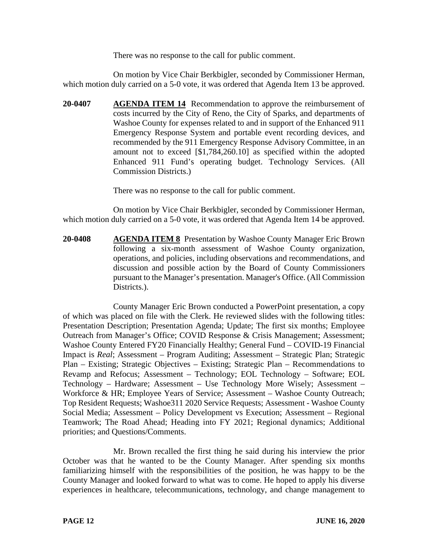There was no response to the call for public comment.

On motion by Vice Chair Berkbigler, seconded by Commissioner Herman, which motion duly carried on a 5-0 vote, it was ordered that Agenda Item 13 be approved.

**20-0407 AGENDA ITEM 14** Recommendation to approve the reimbursement of costs incurred by the City of Reno, the City of Sparks, and departments of Washoe County for expenses related to and in support of the Enhanced 911 Emergency Response System and portable event recording devices, and recommended by the 911 Emergency Response Advisory Committee, in an amount not to exceed [\$1,784,260.10] as specified within the adopted Enhanced 911 Fund's operating budget. Technology Services. (All Commission Districts.)

There was no response to the call for public comment.

On motion by Vice Chair Berkbigler, seconded by Commissioner Herman, which motion duly carried on a 5-0 vote, it was ordered that Agenda Item 14 be approved.

**20-0408 AGENDA ITEM 8** Presentation by Washoe County Manager Eric Brown following a six-month assessment of Washoe County organization, operations, and policies, including observations and recommendations, and discussion and possible action by the Board of County Commissioners pursuant to the Manager's presentation. Manager's Office. (All Commission Districts.).

County Manager Eric Brown conducted a PowerPoint presentation, a copy of which was placed on file with the Clerk. He reviewed slides with the following titles: Presentation Description; Presentation Agenda; Update; The first six months; Employee Outreach from Manager's Office; COVID Response & Crisis Management; Assessment; Washoe County Entered FY20 Financially Healthy; General Fund – COVID-19 Financial Impact is *Real*; Assessment – Program Auditing; Assessment – Strategic Plan; Strategic Plan – Existing; Strategic Objectives – Existing; Strategic Plan – Recommendations to Revamp and Refocus; Assessment – Technology; EOL Technology – Software; EOL Technology – Hardware; Assessment – Use Technology More Wisely; Assessment – Workforce & HR; Employee Years of Service; Assessment – Washoe County Outreach; Top Resident Requests; Washoe311 2020 Service Requests; Assessment - Washoe County Social Media; Assessment – Policy Development vs Execution; Assessment – Regional Teamwork; The Road Ahead; Heading into FY 2021; Regional dynamics; Additional priorities; and Questions/Comments.

Mr. Brown recalled the first thing he said during his interview the prior October was that he wanted to be the County Manager. After spending six months familiarizing himself with the responsibilities of the position, he was happy to be the County Manager and looked forward to what was to come. He hoped to apply his diverse experiences in healthcare, telecommunications, technology, and change management to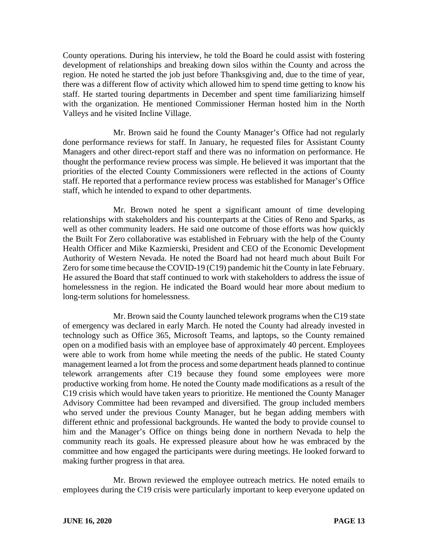County operations. During his interview, he told the Board he could assist with fostering development of relationships and breaking down silos within the County and across the region. He noted he started the job just before Thanksgiving and, due to the time of year, there was a different flow of activity which allowed him to spend time getting to know his staff. He started touring departments in December and spent time familiarizing himself with the organization. He mentioned Commissioner Herman hosted him in the North Valleys and he visited Incline Village.

Mr. Brown said he found the County Manager's Office had not regularly done performance reviews for staff. In January, he requested files for Assistant County Managers and other direct-report staff and there was no information on performance. He thought the performance review process was simple. He believed it was important that the priorities of the elected County Commissioners were reflected in the actions of County staff. He reported that a performance review process was established for Manager's Office staff, which he intended to expand to other departments.

Mr. Brown noted he spent a significant amount of time developing relationships with stakeholders and his counterparts at the Cities of Reno and Sparks, as well as other community leaders. He said one outcome of those efforts was how quickly the Built For Zero collaborative was established in February with the help of the County Health Officer and Mike Kazmierski, President and CEO of the Economic Development Authority of Western Nevada. He noted the Board had not heard much about Built For Zero for some time because the COVID-19 (C19) pandemic hit the County in late February. He assured the Board that staff continued to work with stakeholders to address the issue of homelessness in the region. He indicated the Board would hear more about medium to long-term solutions for homelessness.

Mr. Brown said the County launched telework programs when the C19 state of emergency was declared in early March. He noted the County had already invested in technology such as Office 365, Microsoft Teams, and laptops, so the County remained open on a modified basis with an employee base of approximately 40 percent. Employees were able to work from home while meeting the needs of the public. He stated County management learned a lot from the process and some department heads planned to continue telework arrangements after C19 because they found some employees were more productive working from home. He noted the County made modifications as a result of the C19 crisis which would have taken years to prioritize. He mentioned the County Manager Advisory Committee had been revamped and diversified. The group included members who served under the previous County Manager, but he began adding members with different ethnic and professional backgrounds. He wanted the body to provide counsel to him and the Manager's Office on things being done in northern Nevada to help the community reach its goals. He expressed pleasure about how he was embraced by the committee and how engaged the participants were during meetings. He looked forward to making further progress in that area.

Mr. Brown reviewed the employee outreach metrics. He noted emails to employees during the C19 crisis were particularly important to keep everyone updated on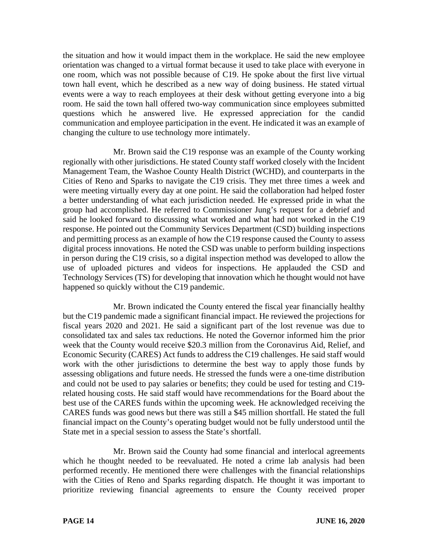the situation and how it would impact them in the workplace. He said the new employee orientation was changed to a virtual format because it used to take place with everyone in one room, which was not possible because of C19. He spoke about the first live virtual town hall event, which he described as a new way of doing business. He stated virtual events were a way to reach employees at their desk without getting everyone into a big room. He said the town hall offered two-way communication since employees submitted questions which he answered live. He expressed appreciation for the candid communication and employee participation in the event. He indicated it was an example of changing the culture to use technology more intimately.

Mr. Brown said the C19 response was an example of the County working regionally with other jurisdictions. He stated County staff worked closely with the Incident Management Team, the Washoe County Health District (WCHD), and counterparts in the Cities of Reno and Sparks to navigate the C19 crisis. They met three times a week and were meeting virtually every day at one point. He said the collaboration had helped foster a better understanding of what each jurisdiction needed. He expressed pride in what the group had accomplished. He referred to Commissioner Jung's request for a debrief and said he looked forward to discussing what worked and what had not worked in the C19 response. He pointed out the Community Services Department (CSD) building inspections and permitting process as an example of how the C19 response caused the County to assess digital process innovations. He noted the CSD was unable to perform building inspections in person during the C19 crisis, so a digital inspection method was developed to allow the use of uploaded pictures and videos for inspections. He applauded the CSD and Technology Services (TS) for developing that innovation which he thought would not have happened so quickly without the C19 pandemic.

Mr. Brown indicated the County entered the fiscal year financially healthy but the C19 pandemic made a significant financial impact. He reviewed the projections for fiscal years 2020 and 2021. He said a significant part of the lost revenue was due to consolidated tax and sales tax reductions. He noted the Governor informed him the prior week that the County would receive \$20.3 million from the Coronavirus Aid, Relief, and Economic Security (CARES) Act funds to address the C19 challenges. He said staff would work with the other jurisdictions to determine the best way to apply those funds by assessing obligations and future needs. He stressed the funds were a one-time distribution and could not be used to pay salaries or benefits; they could be used for testing and C19 related housing costs. He said staff would have recommendations for the Board about the best use of the CARES funds within the upcoming week. He acknowledged receiving the CARES funds was good news but there was still a \$45 million shortfall. He stated the full financial impact on the County's operating budget would not be fully understood until the State met in a special session to assess the State's shortfall.

Mr. Brown said the County had some financial and interlocal agreements which he thought needed to be reevaluated. He noted a crime lab analysis had been performed recently. He mentioned there were challenges with the financial relationships with the Cities of Reno and Sparks regarding dispatch. He thought it was important to prioritize reviewing financial agreements to ensure the County received proper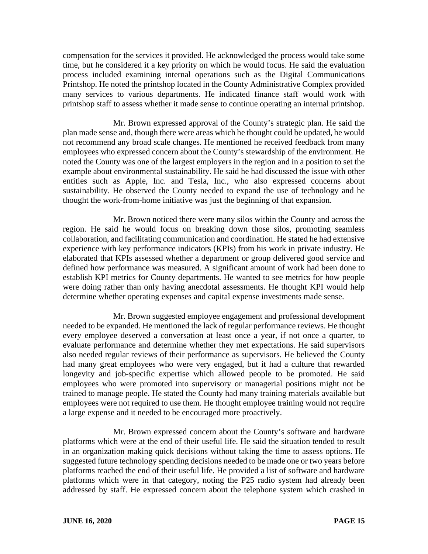compensation for the services it provided. He acknowledged the process would take some time, but he considered it a key priority on which he would focus. He said the evaluation process included examining internal operations such as the Digital Communications Printshop. He noted the printshop located in the County Administrative Complex provided many services to various departments. He indicated finance staff would work with printshop staff to assess whether it made sense to continue operating an internal printshop.

Mr. Brown expressed approval of the County's strategic plan. He said the plan made sense and, though there were areas which he thought could be updated, he would not recommend any broad scale changes. He mentioned he received feedback from many employees who expressed concern about the County's stewardship of the environment. He noted the County was one of the largest employers in the region and in a position to set the example about environmental sustainability. He said he had discussed the issue with other entities such as Apple, Inc. and Tesla, Inc., who also expressed concerns about sustainability. He observed the County needed to expand the use of technology and he thought the work-from-home initiative was just the beginning of that expansion.

Mr. Brown noticed there were many silos within the County and across the region. He said he would focus on breaking down those silos, promoting seamless collaboration, and facilitating communication and coordination. He stated he had extensive experience with key performance indicators (KPIs) from his work in private industry. He elaborated that KPIs assessed whether a department or group delivered good service and defined how performance was measured. A significant amount of work had been done to establish KPI metrics for County departments. He wanted to see metrics for how people were doing rather than only having anecdotal assessments. He thought KPI would help determine whether operating expenses and capital expense investments made sense.

Mr. Brown suggested employee engagement and professional development needed to be expanded. He mentioned the lack of regular performance reviews. He thought every employee deserved a conversation at least once a year, if not once a quarter, to evaluate performance and determine whether they met expectations. He said supervisors also needed regular reviews of their performance as supervisors. He believed the County had many great employees who were very engaged, but it had a culture that rewarded longevity and job-specific expertise which allowed people to be promoted. He said employees who were promoted into supervisory or managerial positions might not be trained to manage people. He stated the County had many training materials available but employees were not required to use them. He thought employee training would not require a large expense and it needed to be encouraged more proactively.

Mr. Brown expressed concern about the County's software and hardware platforms which were at the end of their useful life. He said the situation tended to result in an organization making quick decisions without taking the time to assess options. He suggested future technology spending decisions needed to be made one or two years before platforms reached the end of their useful life. He provided a list of software and hardware platforms which were in that category, noting the P25 radio system had already been addressed by staff. He expressed concern about the telephone system which crashed in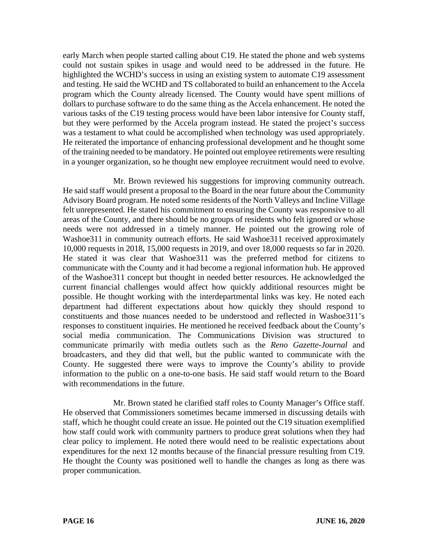early March when people started calling about C19. He stated the phone and web systems could not sustain spikes in usage and would need to be addressed in the future. He highlighted the WCHD's success in using an existing system to automate C19 assessment and testing. He said the WCHD and TS collaborated to build an enhancement to the Accela program which the County already licensed. The County would have spent millions of dollars to purchase software to do the same thing as the Accela enhancement. He noted the various tasks of the C19 testing process would have been labor intensive for County staff, but they were performed by the Accela program instead. He stated the project's success was a testament to what could be accomplished when technology was used appropriately. He reiterated the importance of enhancing professional development and he thought some of the training needed to be mandatory. He pointed out employee retirements were resulting in a younger organization, so he thought new employee recruitment would need to evolve.

Mr. Brown reviewed his suggestions for improving community outreach. He said staff would present a proposal to the Board in the near future about the Community Advisory Board program. He noted some residents of the North Valleys and Incline Village felt unrepresented. He stated his commitment to ensuring the County was responsive to all areas of the County, and there should be no groups of residents who felt ignored or whose needs were not addressed in a timely manner. He pointed out the growing role of Washoe311 in community outreach efforts. He said Washoe311 received approximately 10,000 requests in 2018, 15,000 requests in 2019, and over 18,000 requests so far in 2020. He stated it was clear that Washoe311 was the preferred method for citizens to communicate with the County and it had become a regional information hub. He approved of the Washoe311 concept but thought in needed better resources. He acknowledged the current financial challenges would affect how quickly additional resources might be possible. He thought working with the interdepartmental links was key. He noted each department had different expectations about how quickly they should respond to constituents and those nuances needed to be understood and reflected in Washoe311's responses to constituent inquiries. He mentioned he received feedback about the County's social media communication. The Communications Division was structured to communicate primarily with media outlets such as the *Reno Gazette-Journal* and broadcasters, and they did that well, but the public wanted to communicate with the County. He suggested there were ways to improve the County's ability to provide information to the public on a one-to-one basis. He said staff would return to the Board with recommendations in the future.

Mr. Brown stated he clarified staff roles to County Manager's Office staff. He observed that Commissioners sometimes became immersed in discussing details with staff, which he thought could create an issue. He pointed out the C19 situation exemplified how staff could work with community partners to produce great solutions when they had clear policy to implement. He noted there would need to be realistic expectations about expenditures for the next 12 months because of the financial pressure resulting from C19. He thought the County was positioned well to handle the changes as long as there was proper communication.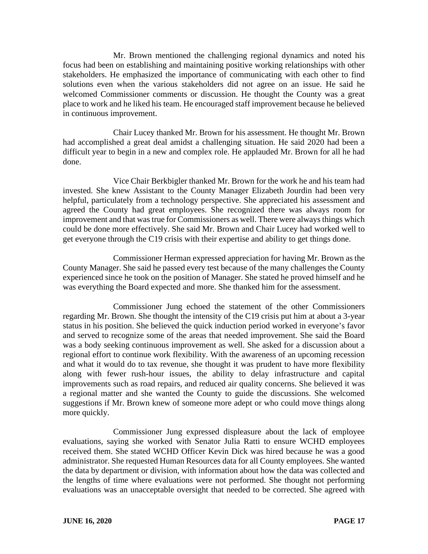Mr. Brown mentioned the challenging regional dynamics and noted his focus had been on establishing and maintaining positive working relationships with other stakeholders. He emphasized the importance of communicating with each other to find solutions even when the various stakeholders did not agree on an issue. He said he welcomed Commissioner comments or discussion. He thought the County was a great place to work and he liked his team. He encouraged staff improvement because he believed in continuous improvement.

Chair Lucey thanked Mr. Brown for his assessment. He thought Mr. Brown had accomplished a great deal amidst a challenging situation. He said 2020 had been a difficult year to begin in a new and complex role. He applauded Mr. Brown for all he had done.

Vice Chair Berkbigler thanked Mr. Brown for the work he and his team had invested. She knew Assistant to the County Manager Elizabeth Jourdin had been very helpful, particulately from a technology perspective. She appreciated his assessment and agreed the County had great employees. She recognized there was always room for improvement and that was true for Commissioners as well. There were always things which could be done more effectively. She said Mr. Brown and Chair Lucey had worked well to get everyone through the C19 crisis with their expertise and ability to get things done.

Commissioner Herman expressed appreciation for having Mr. Brown as the County Manager. She said he passed every test because of the many challenges the County experienced since he took on the position of Manager. She stated he proved himself and he was everything the Board expected and more. She thanked him for the assessment.

Commissioner Jung echoed the statement of the other Commissioners regarding Mr. Brown. She thought the intensity of the C19 crisis put him at about a 3-year status in his position. She believed the quick induction period worked in everyone's favor and served to recognize some of the areas that needed improvement. She said the Board was a body seeking continuous improvement as well. She asked for a discussion about a regional effort to continue work flexibility. With the awareness of an upcoming recession and what it would do to tax revenue, she thought it was prudent to have more flexibility along with fewer rush-hour issues, the ability to delay infrastructure and capital improvements such as road repairs, and reduced air quality concerns. She believed it was a regional matter and she wanted the County to guide the discussions. She welcomed suggestions if Mr. Brown knew of someone more adept or who could move things along more quickly.

Commissioner Jung expressed displeasure about the lack of employee evaluations, saying she worked with Senator Julia Ratti to ensure WCHD employees received them. She stated WCHD Officer Kevin Dick was hired because he was a good administrator. She requested Human Resources data for all County employees. She wanted the data by department or division, with information about how the data was collected and the lengths of time where evaluations were not performed. She thought not performing evaluations was an unacceptable oversight that needed to be corrected. She agreed with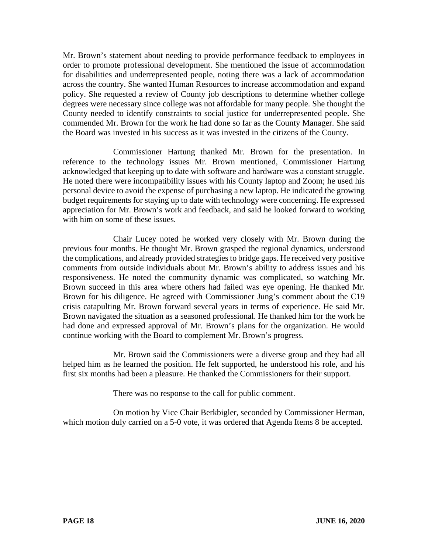Mr. Brown's statement about needing to provide performance feedback to employees in order to promote professional development. She mentioned the issue of accommodation for disabilities and underrepresented people, noting there was a lack of accommodation across the country. She wanted Human Resources to increase accommodation and expand policy. She requested a review of County job descriptions to determine whether college degrees were necessary since college was not affordable for many people. She thought the County needed to identify constraints to social justice for underrepresented people. She commended Mr. Brown for the work he had done so far as the County Manager. She said the Board was invested in his success as it was invested in the citizens of the County.

Commissioner Hartung thanked Mr. Brown for the presentation. In reference to the technology issues Mr. Brown mentioned, Commissioner Hartung acknowledged that keeping up to date with software and hardware was a constant struggle. He noted there were incompatibility issues with his County laptop and Zoom; he used his personal device to avoid the expense of purchasing a new laptop. He indicated the growing budget requirements for staying up to date with technology were concerning. He expressed appreciation for Mr. Brown's work and feedback, and said he looked forward to working with him on some of these issues.

Chair Lucey noted he worked very closely with Mr. Brown during the previous four months. He thought Mr. Brown grasped the regional dynamics, understood the complications, and already provided strategies to bridge gaps. He received very positive comments from outside individuals about Mr. Brown's ability to address issues and his responsiveness. He noted the community dynamic was complicated, so watching Mr. Brown succeed in this area where others had failed was eye opening. He thanked Mr. Brown for his diligence. He agreed with Commissioner Jung's comment about the C19 crisis catapulting Mr. Brown forward several years in terms of experience. He said Mr. Brown navigated the situation as a seasoned professional. He thanked him for the work he had done and expressed approval of Mr. Brown's plans for the organization. He would continue working with the Board to complement Mr. Brown's progress.

Mr. Brown said the Commissioners were a diverse group and they had all helped him as he learned the position. He felt supported, he understood his role, and his first six months had been a pleasure. He thanked the Commissioners for their support.

There was no response to the call for public comment.

On motion by Vice Chair Berkbigler, seconded by Commissioner Herman, which motion duly carried on a 5-0 vote, it was ordered that Agenda Items 8 be accepted.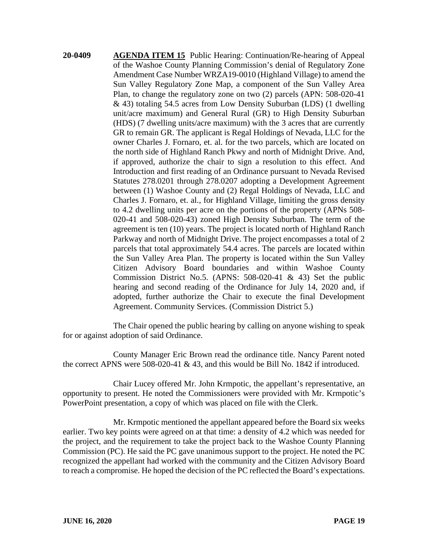**20-0409 AGENDA ITEM 15** Public Hearing: Continuation/Re-hearing of Appeal of the Washoe County Planning Commission's denial of Regulatory Zone Amendment Case Number WRZA19-0010 (Highland Village) to amend the Sun Valley Regulatory Zone Map, a component of the Sun Valley Area Plan, to change the regulatory zone on two (2) parcels (APN: 508-020-41 & 43) totaling 54.5 acres from Low Density Suburban (LDS) (1 dwelling unit/acre maximum) and General Rural (GR) to High Density Suburban (HDS) (7 dwelling units/acre maximum) with the 3 acres that are currently GR to remain GR. The applicant is Regal Holdings of Nevada, LLC for the owner Charles J. Fornaro, et. al. for the two parcels, which are located on the north side of Highland Ranch Pkwy and north of Midnight Drive. And, if approved, authorize the chair to sign a resolution to this effect. And Introduction and first reading of an Ordinance pursuant to Nevada Revised Statutes 278.0201 through 278.0207 adopting a Development Agreement between (1) Washoe County and (2) Regal Holdings of Nevada, LLC and Charles J. Fornaro, et. al., for Highland Village, limiting the gross density to 4.2 dwelling units per acre on the portions of the property (APNs 508- 020-41 and 508-020-43) zoned High Density Suburban. The term of the agreement is ten (10) years. The project is located north of Highland Ranch Parkway and north of Midnight Drive. The project encompasses a total of 2 parcels that total approximately 54.4 acres. The parcels are located within the Sun Valley Area Plan. The property is located within the Sun Valley Citizen Advisory Board boundaries and within Washoe County Commission District No.5. (APNS: 508-020-41 & 43) Set the public hearing and second reading of the Ordinance for July 14, 2020 and, if adopted, further authorize the Chair to execute the final Development Agreement. Community Services. (Commission District 5.)

The Chair opened the public hearing by calling on anyone wishing to speak for or against adoption of said Ordinance.

County Manager Eric Brown read the ordinance title. Nancy Parent noted the correct APNS were 508-020-41  $\&$  43, and this would be Bill No. 1842 if introduced.

Chair Lucey offered Mr. John Krmpotic, the appellant's representative, an opportunity to present. He noted the Commissioners were provided with Mr. Krmpotic's PowerPoint presentation, a copy of which was placed on file with the Clerk.

Mr. Krmpotic mentioned the appellant appeared before the Board six weeks earlier. Two key points were agreed on at that time: a density of 4.2 which was needed for the project, and the requirement to take the project back to the Washoe County Planning Commission (PC). He said the PC gave unanimous support to the project. He noted the PC recognized the appellant had worked with the community and the Citizen Advisory Board to reach a compromise. He hoped the decision of the PC reflected the Board's expectations.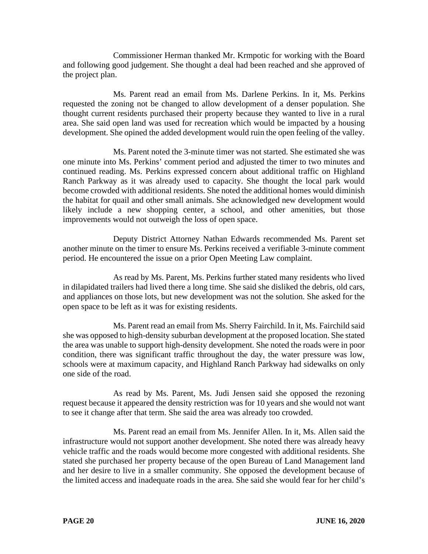Commissioner Herman thanked Mr. Krmpotic for working with the Board and following good judgement. She thought a deal had been reached and she approved of the project plan.

Ms. Parent read an email from Ms. Darlene Perkins. In it, Ms. Perkins requested the zoning not be changed to allow development of a denser population. She thought current residents purchased their property because they wanted to live in a rural area. She said open land was used for recreation which would be impacted by a housing development. She opined the added development would ruin the open feeling of the valley.

Ms. Parent noted the 3-minute timer was not started. She estimated she was one minute into Ms. Perkins' comment period and adjusted the timer to two minutes and continued reading. Ms. Perkins expressed concern about additional traffic on Highland Ranch Parkway as it was already used to capacity. She thought the local park would become crowded with additional residents. She noted the additional homes would diminish the habitat for quail and other small animals. She acknowledged new development would likely include a new shopping center, a school, and other amenities, but those improvements would not outweigh the loss of open space.

Deputy District Attorney Nathan Edwards recommended Ms. Parent set another minute on the timer to ensure Ms. Perkins received a verifiable 3-minute comment period. He encountered the issue on a prior Open Meeting Law complaint.

As read by Ms. Parent, Ms. Perkins further stated many residents who lived in dilapidated trailers had lived there a long time. She said she disliked the debris, old cars, and appliances on those lots, but new development was not the solution. She asked for the open space to be left as it was for existing residents.

Ms. Parent read an email from Ms. Sherry Fairchild. In it, Ms. Fairchild said she was opposed to high-density suburban development at the proposed location. She stated the area was unable to support high-density development. She noted the roads were in poor condition, there was significant traffic throughout the day, the water pressure was low, schools were at maximum capacity, and Highland Ranch Parkway had sidewalks on only one side of the road.

As read by Ms. Parent, Ms. Judi Jensen said she opposed the rezoning request because it appeared the density restriction was for 10 years and she would not want to see it change after that term. She said the area was already too crowded.

Ms. Parent read an email from Ms. Jennifer Allen. In it, Ms. Allen said the infrastructure would not support another development. She noted there was already heavy vehicle traffic and the roads would become more congested with additional residents. She stated she purchased her property because of the open Bureau of Land Management land and her desire to live in a smaller community. She opposed the development because of the limited access and inadequate roads in the area. She said she would fear for her child's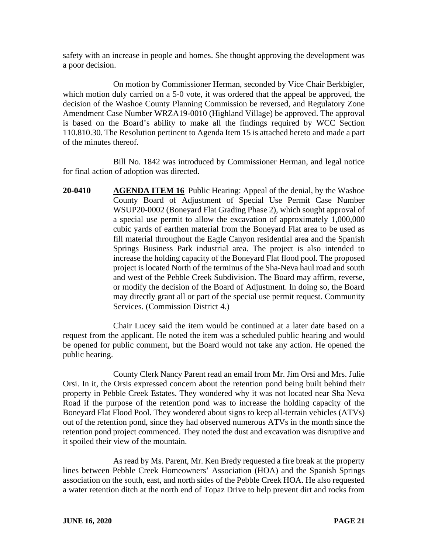safety with an increase in people and homes. She thought approving the development was a poor decision.

On motion by Commissioner Herman, seconded by Vice Chair Berkbigler, which motion duly carried on a 5-0 vote, it was ordered that the appeal be approved, the decision of the Washoe County Planning Commission be reversed, and Regulatory Zone Amendment Case Number WRZA19-0010 (Highland Village) be approved. The approval is based on the Board's ability to make all the findings required by WCC Section 110.810.30. The Resolution pertinent to Agenda Item 15 is attached hereto and made a part of the minutes thereof.

Bill No. 1842 was introduced by Commissioner Herman, and legal notice for final action of adoption was directed.

**20-0410 AGENDA ITEM 16** Public Hearing: Appeal of the denial, by the Washoe County Board of Adjustment of Special Use Permit Case Number WSUP20-0002 (Boneyard Flat Grading Phase 2), which sought approval of a special use permit to allow the excavation of approximately 1,000,000 cubic yards of earthen material from the Boneyard Flat area to be used as fill material throughout the Eagle Canyon residential area and the Spanish Springs Business Park industrial area. The project is also intended to increase the holding capacity of the Boneyard Flat flood pool. The proposed project is located North of the terminus of the Sha-Neva haul road and south and west of the Pebble Creek Subdivision. The Board may affirm, reverse, or modify the decision of the Board of Adjustment. In doing so, the Board may directly grant all or part of the special use permit request. Community Services. (Commission District 4.)

Chair Lucey said the item would be continued at a later date based on a request from the applicant. He noted the item was a scheduled public hearing and would be opened for public comment, but the Board would not take any action. He opened the public hearing.

County Clerk Nancy Parent read an email from Mr. Jim Orsi and Mrs. Julie Orsi. In it, the Orsis expressed concern about the retention pond being built behind their property in Pebble Creek Estates. They wondered why it was not located near Sha Neva Road if the purpose of the retention pond was to increase the holding capacity of the Boneyard Flat Flood Pool. They wondered about signs to keep all-terrain vehicles (ATVs) out of the retention pond, since they had observed numerous ATVs in the month since the retention pond project commenced. They noted the dust and excavation was disruptive and it spoiled their view of the mountain.

As read by Ms. Parent, Mr. Ken Bredy requested a fire break at the property lines between Pebble Creek Homeowners' Association (HOA) and the Spanish Springs association on the south, east, and north sides of the Pebble Creek HOA. He also requested a water retention ditch at the north end of Topaz Drive to help prevent dirt and rocks from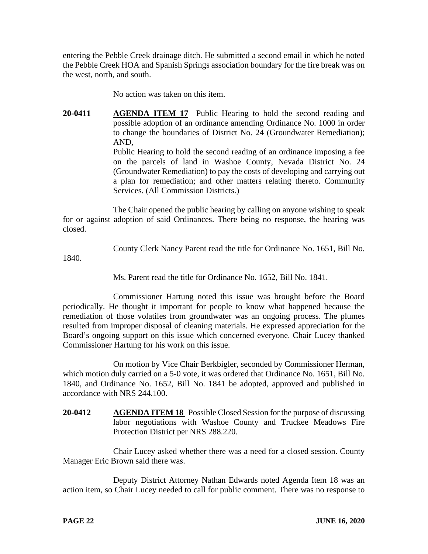entering the Pebble Creek drainage ditch. He submitted a second email in which he noted the Pebble Creek HOA and Spanish Springs association boundary for the fire break was on the west, north, and south.

No action was taken on this item.

**20-0411 AGENDA ITEM 17** Public Hearing to hold the second reading and possible adoption of an ordinance amending Ordinance No. 1000 in order to change the boundaries of District No. 24 (Groundwater Remediation); AND, Public Hearing to hold the second reading of an ordinance imposing a fee on the parcels of land in Washoe County, Nevada District No. 24

(Groundwater Remediation) to pay the costs of developing and carrying out a plan for remediation; and other matters relating thereto. Community Services. (All Commission Districts.)

The Chair opened the public hearing by calling on anyone wishing to speak for or against adoption of said Ordinances. There being no response, the hearing was closed.

County Clerk Nancy Parent read the title for Ordinance No. 1651, Bill No.

1840.

Ms. Parent read the title for Ordinance No. 1652, Bill No. 1841.

Commissioner Hartung noted this issue was brought before the Board periodically. He thought it important for people to know what happened because the remediation of those volatiles from groundwater was an ongoing process. The plumes resulted from improper disposal of cleaning materials. He expressed appreciation for the Board's ongoing support on this issue which concerned everyone. Chair Lucey thanked Commissioner Hartung for his work on this issue.

On motion by Vice Chair Berkbigler, seconded by Commissioner Herman, which motion duly carried on a 5-0 vote, it was ordered that Ordinance No. 1651, Bill No. 1840, and Ordinance No. 1652, Bill No. 1841 be adopted, approved and published in accordance with NRS 244.100.

**20-0412 AGENDA ITEM 18** Possible Closed Session for the purpose of discussing labor negotiations with Washoe County and Truckee Meadows Fire Protection District per NRS 288.220.

Chair Lucey asked whether there was a need for a closed session. County Manager Eric Brown said there was.

Deputy District Attorney Nathan Edwards noted Agenda Item 18 was an action item, so Chair Lucey needed to call for public comment. There was no response to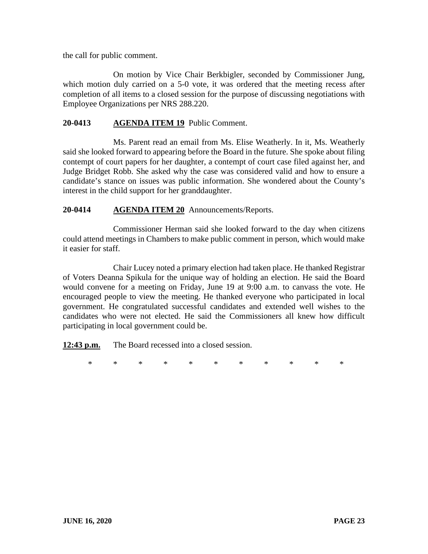the call for public comment.

On motion by Vice Chair Berkbigler, seconded by Commissioner Jung, which motion duly carried on a 5-0 vote, it was ordered that the meeting recess after completion of all items to a closed session for the purpose of discussing negotiations with Employee Organizations per NRS 288.220.

## **20-0413 AGENDA ITEM 19** Public Comment.

Ms. Parent read an email from Ms. Elise Weatherly. In it, Ms. Weatherly said she looked forward to appearing before the Board in the future. She spoke about filing contempt of court papers for her daughter, a contempt of court case filed against her, and Judge Bridget Robb. She asked why the case was considered valid and how to ensure a candidate's stance on issues was public information. She wondered about the County's interest in the child support for her granddaughter.

### **20-0414 AGENDA ITEM 20** Announcements/Reports.

Commissioner Herman said she looked forward to the day when citizens could attend meetings in Chambers to make public comment in person, which would make it easier for staff.

Chair Lucey noted a primary election had taken place. He thanked Registrar of Voters Deanna Spikula for the unique way of holding an election. He said the Board would convene for a meeting on Friday, June 19 at 9:00 a.m. to canvass the vote. He encouraged people to view the meeting. He thanked everyone who participated in local government. He congratulated successful candidates and extended well wishes to the candidates who were not elected. He said the Commissioners all knew how difficult participating in local government could be.

**12:43 p.m.** The Board recessed into a closed session.

\* \* \* \* \* \* \* \* \* \* \*